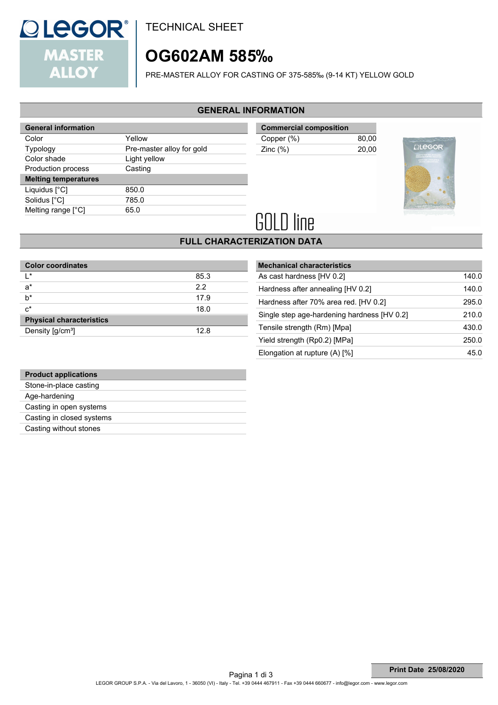

TECHNICAL SHEET

# **OG602AM 585‰**

PRE-MASTER ALLOY FOR CASTING OF 375-585‰ (9-14 KT) YELLOW GOLD

### **GENERAL INFORMATION**

| <b>General information</b>  |                           |
|-----------------------------|---------------------------|
| Color                       | Yellow                    |
| <b>Typology</b>             | Pre-master alloy for gold |
| Color shade                 | Light yellow              |
| Production process          | Casting                   |
| <b>Melting temperatures</b> |                           |
|                             |                           |
| Liquidus [°C]               | 850.0                     |
| Solidus [°C]                | 785.0                     |
| Melting range $[^{\circ}C]$ | 65.0                      |

**Commercial composition** Copper (%) 80,00 Zinc (%) 20,00



# **GOLD line**

# **FULL CHARACTERIZATION DATA**

| <b>Color coordinates</b>        |      |  |  |
|---------------------------------|------|--|--|
| $\mathsf{I}^*$                  | 85.3 |  |  |
| $a^*$                           | 2.2  |  |  |
| $b^*$                           | 17.9 |  |  |
| $c^*$                           | 18.0 |  |  |
| <b>Physical characteristics</b> |      |  |  |
| Density [g/cm <sup>3</sup> ]    | 12.8 |  |  |

| <b>Mechanical characteristics</b>           |       |
|---------------------------------------------|-------|
| As cast hardness [HV 0.2]                   | 140.0 |
| Hardness after annealing [HV 0.2]           | 140.0 |
| Hardness after 70% area red. [HV 0.2]       | 295.0 |
| Single step age-hardening hardness [HV 0.2] | 210.0 |
| Tensile strength (Rm) [Mpa]                 | 430.0 |
| Yield strength (Rp0.2) [MPa]                | 250.0 |
| Elongation at rupture $(A)$ [%]             | 45.0  |

| <b>Product applications</b> |
|-----------------------------|
| Stone-in-place casting      |
| Age-hardening               |
| Casting in open systems     |
| Casting in closed systems   |
| Casting without stones      |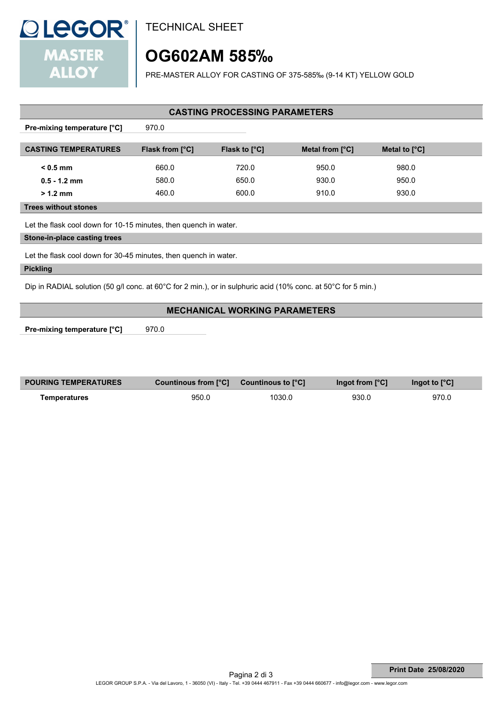

TECHNICAL SHEET

# **OG602AM 585‰**

PRE-MASTER ALLOY FOR CASTING OF 375-585‰ (9-14 KT) YELLOW GOLD

### **CASTING PROCESSING PARAMETERS**

**Pre-mixing temperature [°C]** 970.0

| <b>CASTING TEMPERATURES</b> | <b>Flask from [°C]</b> | <b>Flask to [°C]</b> | Metal from $[^{\circ}C]$ | Metal to $[^{\circ}C]$ |  |
|-----------------------------|------------------------|----------------------|--------------------------|------------------------|--|
| $<$ 0.5 mm                  | 660.0                  | 720.0                | 950.0                    | 980.0                  |  |
| $0.5 - 1.2$ mm              | 580.0                  | 650.0                | 930.0                    | 950.0                  |  |
| $>1.2$ mm                   | 460.0                  | 600.0                | 910.0                    | 930.0                  |  |

 **Trees without stones**

Let the flask cool down for 10-15 minutes, then quench in water.

#### **Stone-in-place casting trees**

Let the flask cool down for 30-45 minutes, then quench in water.

#### **Pickling**

Dip in RADIAL solution (50 g/l conc. at 60°C for 2 min.), or in sulphuric acid (10% conc. at 50°C for 5 min.)

### **MECHANICAL WORKING PARAMETERS**

**Pre-mixing temperature [°C]** 970.0

| <b>POURING TEMPERATURES</b> | <b>Countinous from [°C] Countinous to [°C]</b> |        | Ingot from $[^{\circ}C]$ | Ingot to $[^{\circ}C]$ |
|-----------------------------|------------------------------------------------|--------|--------------------------|------------------------|
| Temperatures                | 950.0                                          | 1030.0 | 930.0                    | 970.0                  |